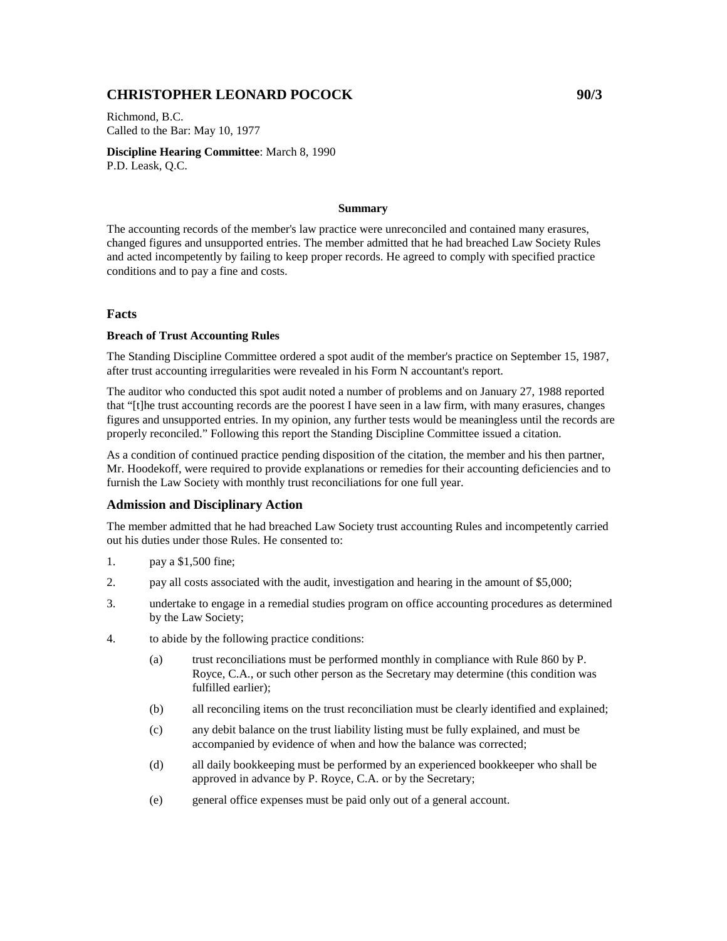# **CHRISTOPHER LEONARD POCOCK 90/3**

Richmond, B.C. Called to the Bar: May 10, 1977

**Discipline Hearing Committee**: March 8, 1990 P.D. Leask, Q.C.

#### **Summary**

The accounting records of the member's law practice were unreconciled and contained many erasures, changed figures and unsupported entries. The member admitted that he had breached Law Society Rules and acted incompetently by failing to keep proper records. He agreed to comply with specified practice conditions and to pay a fine and costs.

### **Facts**

#### **Breach of Trust Accounting Rules**

The Standing Discipline Committee ordered a spot audit of the member's practice on September 15, 1987, after trust accounting irregularities were revealed in his Form N accountant's report.

The auditor who conducted this spot audit noted a number of problems and on January 27, 1988 reported that "[t]he trust accounting records are the poorest I have seen in a law firm, with many erasures, changes figures and unsupported entries. In my opinion, any further tests would be meaningless until the records are properly reconciled." Following this report the Standing Discipline Committee issued a citation.

As a condition of continued practice pending disposition of the citation, the member and his then partner, Mr. Hoodekoff, were required to provide explanations or remedies for their accounting deficiencies and to furnish the Law Society with monthly trust reconciliations for one full year.

## **Admission and Disciplinary Action**

The member admitted that he had breached Law Society trust accounting Rules and incompetently carried out his duties under those Rules. He consented to:

- 1. pay a \$1,500 fine;
- 2. pay all costs associated with the audit, investigation and hearing in the amount of \$5,000;
- 3. undertake to engage in a remedial studies program on office accounting procedures as determined by the Law Society;
- 4. to abide by the following practice conditions:
	- (a) trust reconciliations must be performed monthly in compliance with Rule 860 by P. Royce, C.A., or such other person as the Secretary may determine (this condition was fulfilled earlier);
	- (b) all reconciling items on the trust reconciliation must be clearly identified and explained;
	- (c) any debit balance on the trust liability listing must be fully explained, and must be accompanied by evidence of when and how the balance was corrected;
	- (d) all daily bookkeeping must be performed by an experienced bookkeeper who shall be approved in advance by P. Royce, C.A. or by the Secretary;
	- (e) general office expenses must be paid only out of a general account.